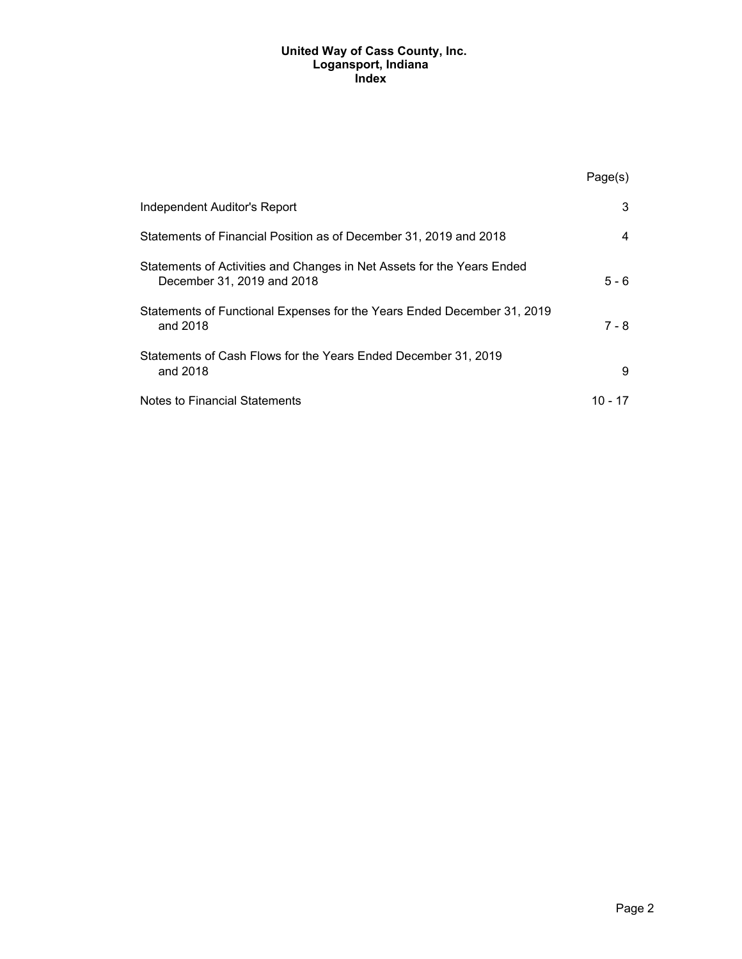### **United Way of Cass County, Inc. Logansport, Indiana Index**

|                                                                                                      | Page(s)    |
|------------------------------------------------------------------------------------------------------|------------|
| Independent Auditor's Report                                                                         | 3          |
| Statements of Financial Position as of December 31, 2019 and 2018                                    | 4          |
| Statements of Activities and Changes in Net Assets for the Years Ended<br>December 31, 2019 and 2018 | $5 - 6$    |
| Statements of Functional Expenses for the Years Ended December 31, 2019<br>and 2018                  | 7 - 8      |
| Statements of Cash Flows for the Years Ended December 31, 2019<br>and 2018                           | 9          |
| Notes to Financial Statements                                                                        | 10 -<br>17 |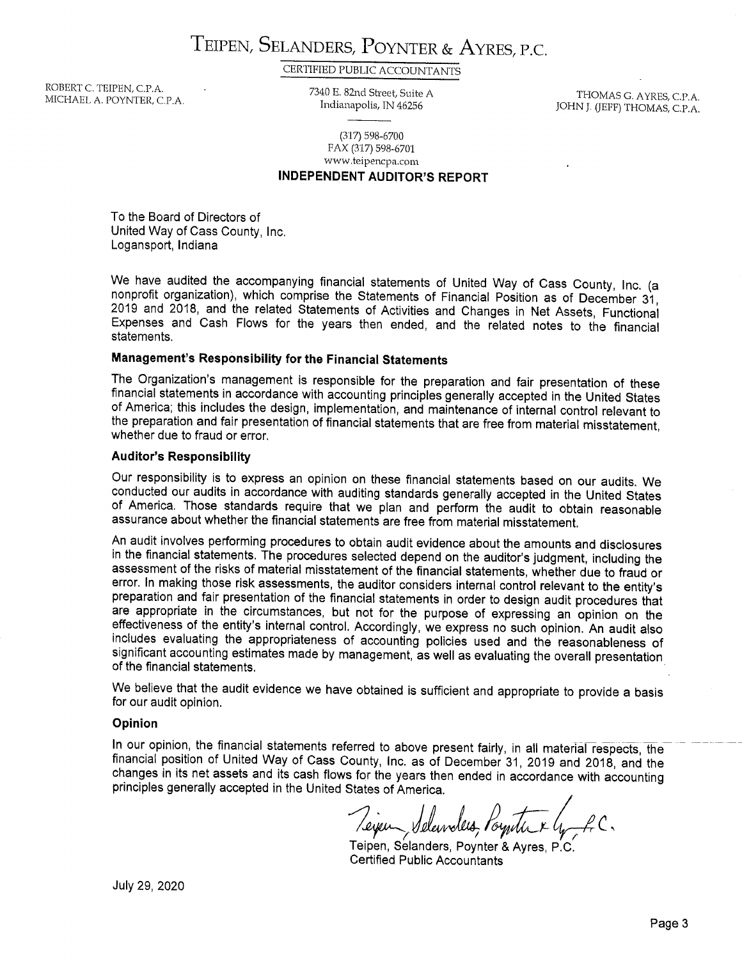CERTIFIED PUBLIC ACCOUNTANTS

ROBERT C. TEIPEN, C.P.A. MICHAEL A. POYNTER, C.P.A.

7340 E. 82nd Street, Suite A Indianapolis, IN 46256

THOMAS G. AYRES, C.P.A. JOHN J. (JEFF) THOMAS, C.P.A.

 $(317) 598 - 6700$ FAX (317) 598-6701 www.teipencpa.com **INDEPENDENT AUDITOR'S REPORT** 

To the Board of Directors of United Way of Cass County, Inc. Logansport, Indiana

We have audited the accompanying financial statements of United Way of Cass County, Inc. (a nonprofit organization), which comprise the Statements of Financial Position as of December 31, 2019 and 2018, and the related Statements of Activities and Changes in Net Assets, Functional Expenses and Cash Flows for the years then ended, and the related notes to the financial statements.

# Management's Responsibility for the Financial Statements

The Organization's management is responsible for the preparation and fair presentation of these financial statements in accordance with accounting principles generally accepted in the United States of America; this includes the design, implementation, and maintenance of internal control relevant to the preparation and fair presentation of financial statements that are free from material misstatement, whether due to fraud or error.

### **Auditor's Responsibility**

Our responsibility is to express an opinion on these financial statements based on our audits. We conducted our audits in accordance with auditing standards generally accepted in the United States of America. Those standards require that we plan and perform the audit to obtain reasonable assurance about whether the financial statements are free from material misstatement.

An audit involves performing procedures to obtain audit evidence about the amounts and disclosures in the financial statements. The procedures selected depend on the auditor's judgment, including the assessment of the risks of material misstatement of the financial statements, whether due to fraud or error. In making those risk assessments, the auditor considers internal control relevant to the entity's preparation and fair presentation of the financial statements in order to design audit procedures that are appropriate in the circumstances, but not for the purpose of expressing an opinion on the effectiveness of the entity's internal control. Accordingly, we express no such opinion. An audit also includes evaluating the appropriateness of accounting policies used and the reasonableness of significant accounting estimates made by management, as well as evaluating the overall presentation of the financial statements.

We believe that the audit evidence we have obtained is sufficient and appropriate to provide a basis for our audit opinion.

#### Opinion

In our opinion, the financial statements referred to above present fairly, in all material respects, the financial position of United Way of Cass County, Inc. as of December 31, 2019 and 2018, and the changes in its net assets and its cash flows for the years then ended in accordance with accounting principles generally accepted in the United States of America.

Selevoles Poynter

Teipen. Selanders, Poynter & Ayres, P.C. **Certified Public Accountants** 

July 29, 2020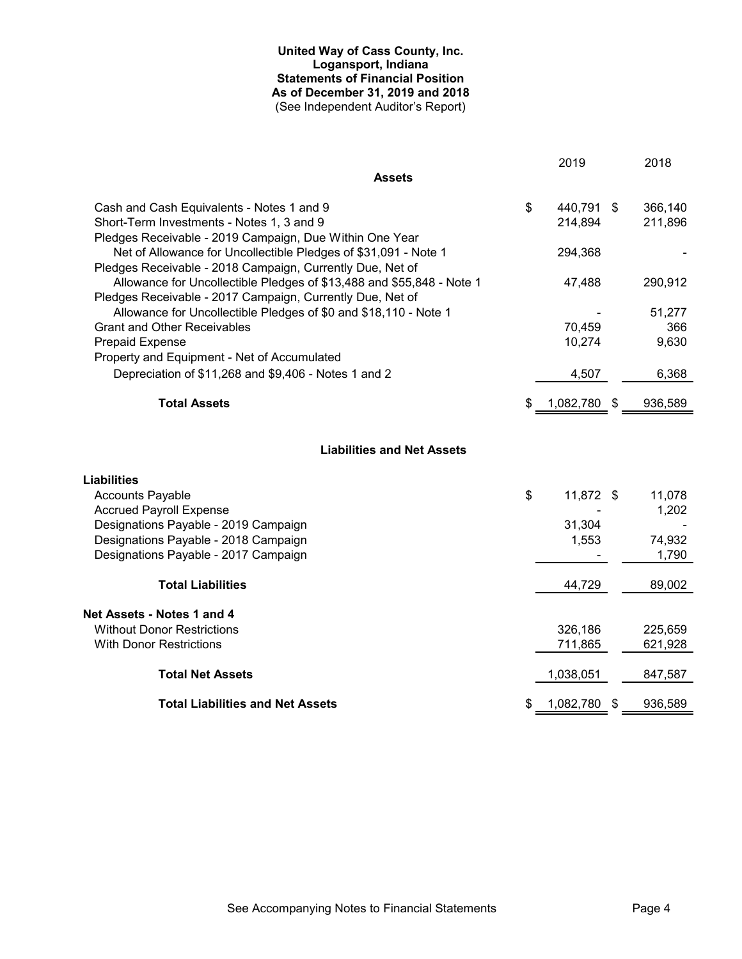### **United Way of Cass County, Inc. Logansport, Indiana Statements of Financial Position As of December 31, 2019 and 2018** (See Independent Auditor's Report)

|                                                                                                        | 2019               |    | 2018    |
|--------------------------------------------------------------------------------------------------------|--------------------|----|---------|
| <b>Assets</b>                                                                                          |                    |    |         |
| Cash and Cash Equivalents - Notes 1 and 9                                                              | \$<br>440,791      | \$ | 366,140 |
| Short-Term Investments - Notes 1, 3 and 9                                                              | 214,894            |    | 211,896 |
| Pledges Receivable - 2019 Campaign, Due Within One Year                                                |                    |    |         |
| Net of Allowance for Uncollectible Pledges of \$31,091 - Note 1                                        | 294,368            |    |         |
| Pledges Receivable - 2018 Campaign, Currently Due, Net of                                              |                    |    |         |
| Allowance for Uncollectible Pledges of \$13,488 and \$55,848 - Note 1                                  | 47,488             |    | 290,912 |
| Pledges Receivable - 2017 Campaign, Currently Due, Net of                                              |                    |    | 51,277  |
| Allowance for Uncollectible Pledges of \$0 and \$18,110 - Note 1<br><b>Grant and Other Receivables</b> | 70,459             |    | 366     |
| <b>Prepaid Expense</b>                                                                                 | 10,274             |    | 9,630   |
| Property and Equipment - Net of Accumulated                                                            |                    |    |         |
| Depreciation of \$11,268 and \$9,406 - Notes 1 and 2                                                   | 4,507              |    | 6,368   |
|                                                                                                        |                    |    |         |
| <b>Total Assets</b>                                                                                    | 1,082,780          | \$ | 936,589 |
|                                                                                                        |                    |    |         |
| <b>Liabilities and Net Assets</b>                                                                      |                    |    |         |
| <b>Liabilities</b>                                                                                     |                    |    |         |
| <b>Accounts Payable</b>                                                                                | \$<br>11,872       | S  | 11,078  |
| <b>Accrued Payroll Expense</b>                                                                         |                    |    | 1,202   |
| Designations Payable - 2019 Campaign                                                                   | 31,304             |    |         |
| Designations Payable - 2018 Campaign                                                                   | 1,553              |    | 74,932  |
| Designations Payable - 2017 Campaign                                                                   |                    |    | 1,790   |
| <b>Total Liabilities</b>                                                                               | 44,729             |    | 89,002  |
| Net Assets - Notes 1 and 4                                                                             |                    |    |         |
| <b>Without Donor Restrictions</b>                                                                      | 326,186            |    | 225,659 |
| <b>With Donor Restrictions</b>                                                                         | 711,865            |    | 621,928 |
|                                                                                                        |                    |    |         |
| <b>Total Net Assets</b>                                                                                | 1,038,051          |    | 847,587 |
| <b>Total Liabilities and Net Assets</b>                                                                | \$<br>1,082,780 \$ |    | 936,589 |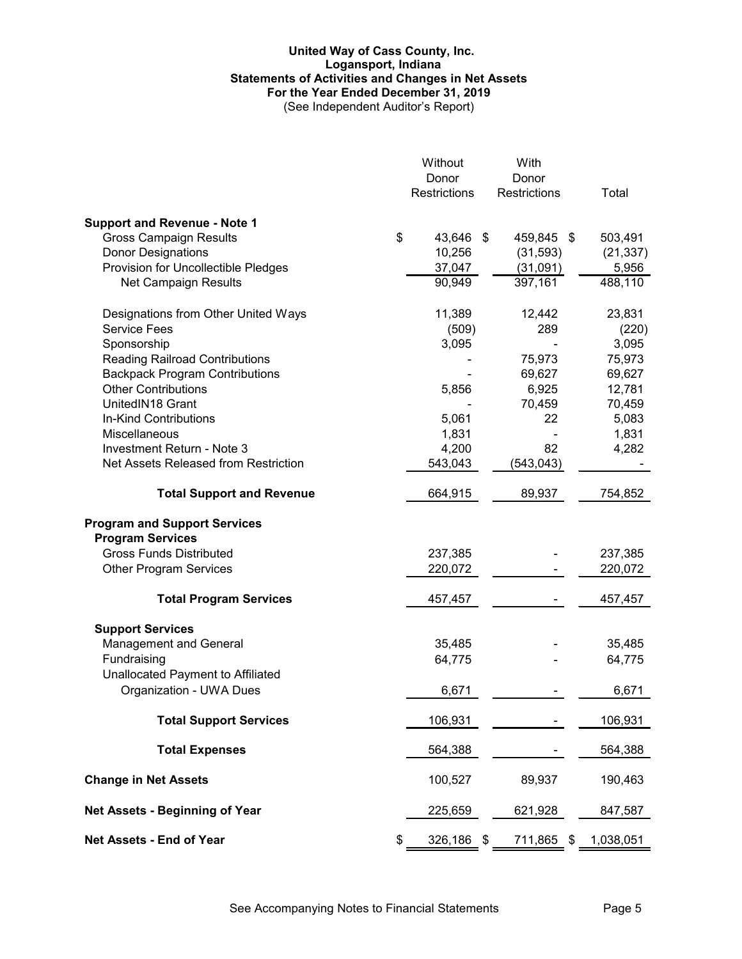### **United Way of Cass County, Inc. Logansport, Indiana Statements of Activities and Changes in Net Assets For the Year Ended December 31, 2019** (See Independent Auditor's Report)

|                                       | Without<br>Donor | With<br>Donor    |           |
|---------------------------------------|------------------|------------------|-----------|
|                                       | Restrictions     | Restrictions     | Total     |
| <b>Support and Revenue - Note 1</b>   |                  |                  |           |
| <b>Gross Campaign Results</b>         | \$<br>43,646 \$  | 459,845 \$       | 503,491   |
| <b>Donor Designations</b>             | 10,256           | (31, 593)        | (21, 337) |
| Provision for Uncollectible Pledges   | 37,047           | (31,091)         | 5,956     |
| Net Campaign Results                  | 90,949           | 397,161          | 488,110   |
| Designations from Other United Ways   | 11,389           | 12,442           | 23,831    |
| <b>Service Fees</b>                   | (509)            | 289              | (220)     |
| Sponsorship                           | 3,095            |                  | 3,095     |
| <b>Reading Railroad Contributions</b> |                  | 75,973           | 75,973    |
| <b>Backpack Program Contributions</b> |                  | 69,627           | 69,627    |
| <b>Other Contributions</b>            | 5,856            | 6,925            | 12,781    |
| UnitedIN18 Grant                      |                  | 70,459           | 70,459    |
| In-Kind Contributions                 | 5,061            | 22               | 5,083     |
| Miscellaneous                         | 1,831            |                  | 1,831     |
| Investment Return - Note 3            | 4,200            | 82               | 4,282     |
| Net Assets Released from Restriction  | 543,043          | (543, 043)       |           |
| <b>Total Support and Revenue</b>      | 664,915          | 89,937           | 754,852   |
| <b>Program and Support Services</b>   |                  |                  |           |
| <b>Program Services</b>               |                  |                  |           |
| <b>Gross Funds Distributed</b>        | 237,385          |                  | 237,385   |
| <b>Other Program Services</b>         | 220,072          |                  | 220,072   |
| <b>Total Program Services</b>         | 457,457          |                  | 457,457   |
| <b>Support Services</b>               |                  |                  |           |
| Management and General                | 35,485           |                  | 35,485    |
| Fundraising                           | 64,775           |                  | 64,775    |
| Unallocated Payment to Affiliated     |                  |                  |           |
| Organization - UWA Dues               | 6,671            |                  | 6,671     |
| <b>Total Support Services</b>         | 106,931          |                  | 106,931   |
| <b>Total Expenses</b>                 | 564,388          |                  | 564,388   |
| <b>Change in Net Assets</b>           | 100,527          | 89,937           | 190,463   |
| <b>Net Assets - Beginning of Year</b> | 225,659          | 621,928          | 847,587   |
| Net Assets - End of Year              | \$<br>326,186    | \$<br>711,865 \$ | 1,038,051 |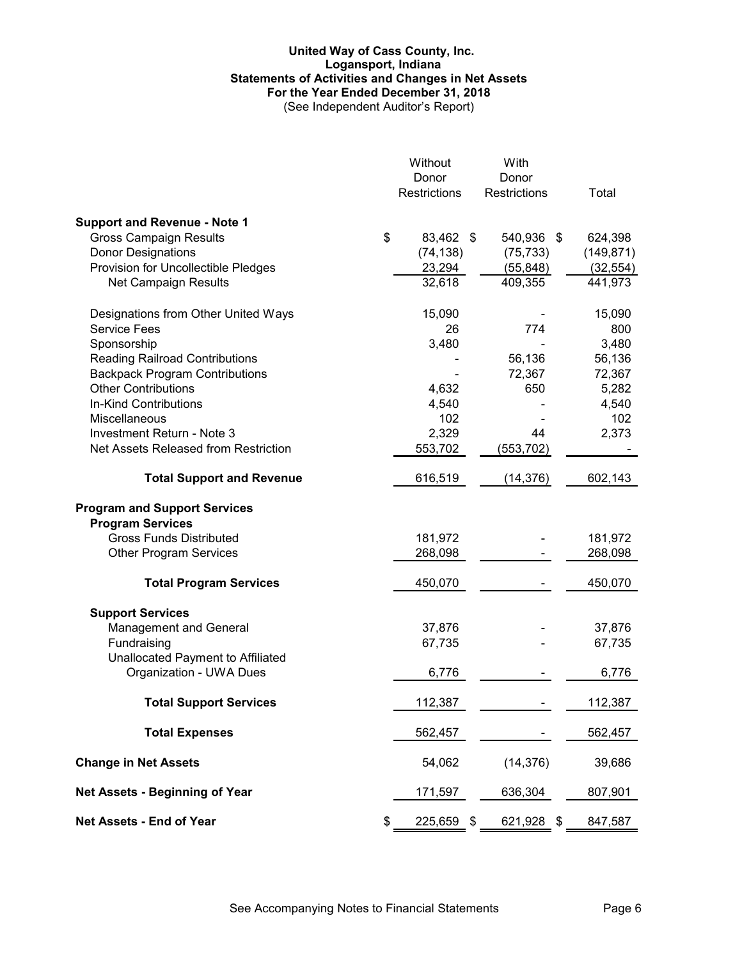### **United Way of Cass County, Inc. Logansport, Indiana Statements of Activities and Changes in Net Assets For the Year Ended December 31, 2018** (See Independent Auditor's Report)

|                                                                | Without<br>Donor    | With<br>Donor       |            |
|----------------------------------------------------------------|---------------------|---------------------|------------|
|                                                                | <b>Restrictions</b> | <b>Restrictions</b> | Total      |
| <b>Support and Revenue - Note 1</b>                            |                     |                     |            |
| <b>Gross Campaign Results</b>                                  | \$<br>83,462 \$     | 540,936 \$          | 624,398    |
| <b>Donor Designations</b>                                      | (74, 138)           | (75, 733)           | (149, 871) |
| Provision for Uncollectible Pledges                            | 23,294              | (55, 848)           | (32, 554)  |
| Net Campaign Results                                           | 32,618              | 409,355             | 441,973    |
| Designations from Other United Ways                            | 15,090              |                     | 15,090     |
| <b>Service Fees</b>                                            | 26                  | 774                 | 800        |
| Sponsorship                                                    | 3,480               |                     | 3,480      |
| <b>Reading Railroad Contributions</b>                          |                     | 56,136              | 56,136     |
| <b>Backpack Program Contributions</b>                          |                     | 72,367              | 72,367     |
| <b>Other Contributions</b>                                     | 4,632               | 650                 | 5,282      |
| In-Kind Contributions                                          | 4,540               |                     | 4,540      |
| Miscellaneous                                                  | 102                 |                     | 102        |
| Investment Return - Note 3                                     | 2,329               | 44                  | 2,373      |
| Net Assets Released from Restriction                           | 553,702             | (553, 702)          |            |
| <b>Total Support and Revenue</b>                               | 616,519             | (14, 376)           | 602,143    |
| <b>Program and Support Services</b><br><b>Program Services</b> |                     |                     |            |
| <b>Gross Funds Distributed</b>                                 | 181,972             |                     | 181,972    |
| <b>Other Program Services</b>                                  | 268,098             |                     | 268,098    |
| <b>Total Program Services</b>                                  | 450,070             |                     | 450,070    |
| <b>Support Services</b>                                        |                     |                     |            |
| <b>Management and General</b>                                  | 37,876              |                     | 37,876     |
| Fundraising                                                    | 67,735              |                     | 67,735     |
| Unallocated Payment to Affiliated                              |                     |                     |            |
| Organization - UWA Dues                                        | 6,776               |                     | 6,776      |
| <b>Total Support Services</b>                                  | 112,387             |                     | 112,387    |
| <b>Total Expenses</b>                                          | 562,457             |                     | 562,457    |
| <b>Change in Net Assets</b>                                    | 54,062              | (14, 376)           | 39,686     |
| <b>Net Assets - Beginning of Year</b>                          | 171,597             | 636,304             | 807,901    |
| Net Assets - End of Year                                       | \$<br>225,659 \$    | 621,928 \$          | 847,587    |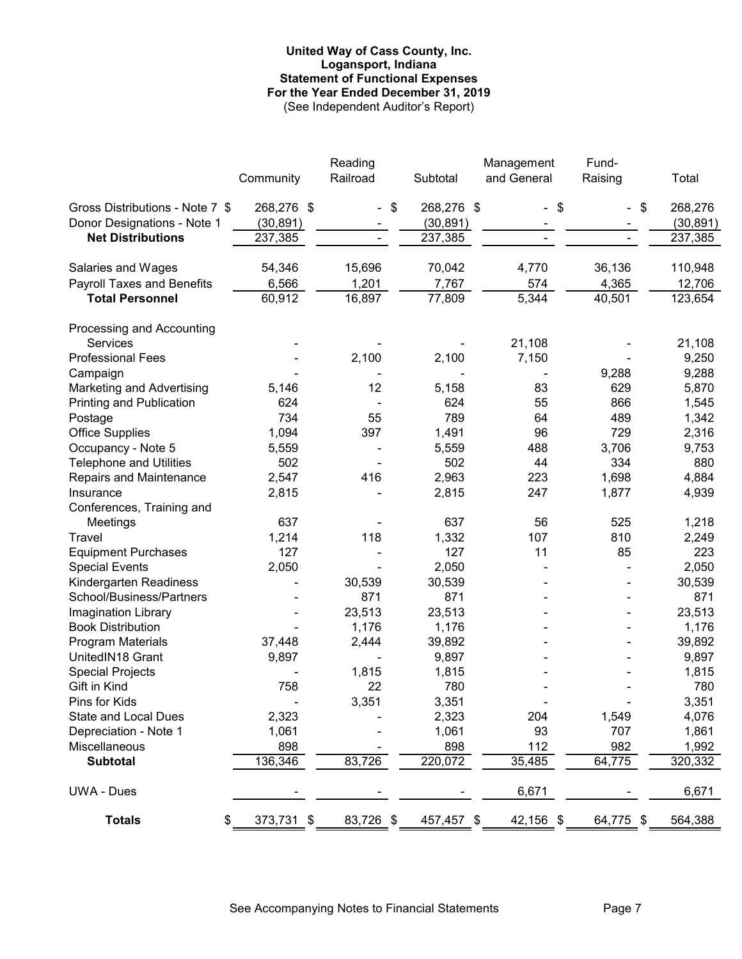### **United Way of Cass County, Inc. Logansport, Indiana Statement of Functional Expenses For the Year Ended December 31, 2019** (See Independent Auditor's Report)

|                                   | Community        | Reading<br>Railroad | Subtotal   | Management<br>and General | Fund-<br>Raising     | Total     |
|-----------------------------------|------------------|---------------------|------------|---------------------------|----------------------|-----------|
|                                   |                  |                     |            |                           |                      |           |
| Gross Distributions - Note 7 \$   | 268,276 \$       | \$                  | 268,276 \$ | \$                        | \$<br>$\blacksquare$ | 268,276   |
| Donor Designations - Note 1       | (30, 891)        |                     | (30, 891)  |                           |                      | (30, 891) |
| <b>Net Distributions</b>          | 237,385          |                     | 237,385    |                           |                      | 237,385   |
| Salaries and Wages                | 54,346           | 15,696              | 70,042     | 4,770                     | 36,136               | 110,948   |
| <b>Payroll Taxes and Benefits</b> | 6,566            | 1,201               | 7,767      | 574                       | 4,365                | 12,706    |
| <b>Total Personnel</b>            | 60,912           | 16,897              | 77,809     | 5,344                     | 40,501               | 123,654   |
| Processing and Accounting         |                  |                     |            |                           |                      |           |
| Services                          |                  |                     |            | 21,108                    |                      | 21,108    |
| <b>Professional Fees</b>          |                  | 2,100               | 2,100      | 7,150                     |                      | 9,250     |
| Campaign                          |                  |                     |            |                           | 9,288                | 9,288     |
| Marketing and Advertising         | 5,146            | 12                  | 5,158      | 83                        | 629                  | 5,870     |
| <b>Printing and Publication</b>   | 624              |                     | 624        | 55                        | 866                  | 1,545     |
| Postage                           | 734              | 55                  | 789        | 64                        | 489                  | 1,342     |
| <b>Office Supplies</b>            | 1,094            | 397                 | 1,491      | 96                        | 729                  | 2,316     |
| Occupancy - Note 5                | 5,559            |                     | 5,559      | 488                       | 3,706                | 9,753     |
| <b>Telephone and Utilities</b>    | 502              |                     | 502        | 44                        | 334                  | 880       |
| Repairs and Maintenance           | 2,547            | 416                 | 2,963      | 223                       | 1,698                | 4,884     |
| Insurance                         | 2,815            |                     | 2,815      | 247                       | 1,877                | 4,939     |
| Conferences, Training and         |                  |                     |            |                           |                      |           |
| Meetings                          | 637              |                     | 637        | 56                        | 525                  | 1,218     |
| Travel                            | 1,214            | 118                 | 1,332      | 107                       | 810                  | 2,249     |
| <b>Equipment Purchases</b>        | 127              |                     | 127        | 11                        | 85                   | 223       |
| <b>Special Events</b>             | 2,050            |                     | 2,050      |                           |                      | 2,050     |
| Kindergarten Readiness            |                  | 30,539              | 30,539     |                           |                      | 30,539    |
| School/Business/Partners          |                  | 871                 | 871        |                           |                      | 871       |
| Imagination Library               |                  | 23,513              | 23,513     |                           |                      | 23,513    |
| <b>Book Distribution</b>          |                  | 1,176               | 1,176      |                           |                      | 1,176     |
| Program Materials                 | 37,448           | 2,444               | 39,892     |                           |                      | 39,892    |
| UnitedIN18 Grant                  | 9,897            |                     | 9,897      |                           |                      | 9,897     |
| <b>Special Projects</b>           |                  | 1,815               | 1,815      |                           |                      | 1,815     |
| Gift in Kind                      | 758              | 22                  | 780        |                           |                      | 780       |
| Pins for Kids                     |                  | 3,351               | 3,351      |                           |                      | 3,351     |
| <b>State and Local Dues</b>       | 2,323            |                     | 2,323      | 204                       | 1,549                | 4,076     |
| Depreciation - Note 1             | 1,061            |                     | 1,061      | 93                        | 707                  | 1,861     |
| Miscellaneous                     | 898              |                     | 898        | 112                       | 982                  | 1,992     |
| <b>Subtotal</b>                   | 136,346          | 83,726              | 220,072    | 35,485                    | 64,775               | 320,332   |
| <b>UWA - Dues</b>                 |                  |                     |            | 6,671                     |                      | 6,671     |
| <b>Totals</b>                     | \$<br>373,731 \$ | 83,726 \$           | 457,457 \$ | 42,156 \$                 | 64,775 \$            | 564,388   |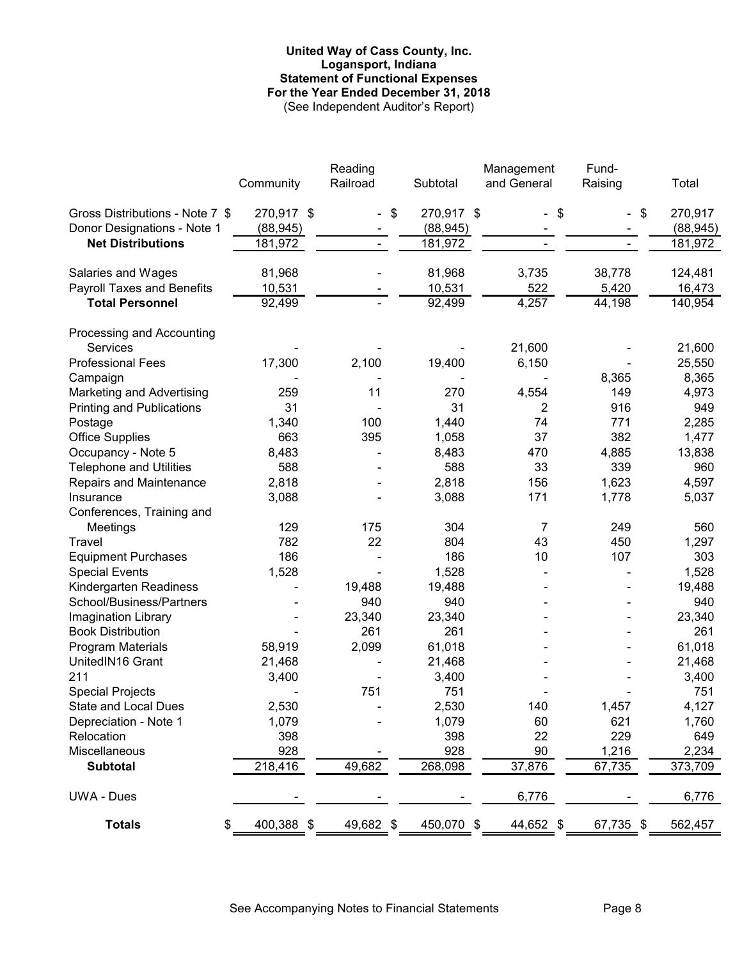### **United Way of Cass County, Inc. Logansport, Indiana Statement of Functional Expenses For the Year Ended December 31, 2018** (See Independent Auditor's Report)

|                                   | Community        | Reading<br>Railroad | Subtotal       | Management<br>and General | Fund-<br>Raising     | Total     |
|-----------------------------------|------------------|---------------------|----------------|---------------------------|----------------------|-----------|
|                                   |                  |                     |                |                           |                      |           |
| Gross Distributions - Note 7 \$   | 270,917 \$       | \$                  | 270,917 \$     | \$                        | \$<br>$\blacksquare$ | 270,917   |
| Donor Designations - Note 1       | (88, 945)        |                     | (88, 945)      |                           |                      | (88, 945) |
| <b>Net Distributions</b>          | 181,972          |                     | 181,972        |                           |                      | 181,972   |
| Salaries and Wages                | 81,968           |                     | 81,968         | 3,735                     | 38,778               | 124,481   |
| <b>Payroll Taxes and Benefits</b> | 10,531           |                     | 10,531         | 522                       | 5,420                | 16,473    |
| <b>Total Personnel</b>            | 92,499           |                     | 92,499         | 4,257                     | 44,198               | 140,954   |
| Processing and Accounting         |                  |                     |                |                           |                      |           |
| Services                          |                  |                     |                | 21,600                    |                      | 21,600    |
| <b>Professional Fees</b>          | 17,300           | 2,100               | 19,400         | 6,150                     |                      | 25,550    |
| Campaign                          |                  |                     |                |                           | 8,365                | 8,365     |
| Marketing and Advertising         | 259              | 11                  | 270            | 4,554                     | 149                  | 4,973     |
| <b>Printing and Publications</b>  | 31               |                     | 31             | 2                         | 916                  | 949       |
| Postage                           | 1,340            | 100                 | 1,440          | 74                        | 771                  | 2,285     |
| <b>Office Supplies</b>            | 663              | 395                 | 1,058          | 37                        | 382                  | 1,477     |
| Occupancy - Note 5                | 8,483            |                     | 8,483          | 470                       | 4,885                | 13,838    |
| <b>Telephone and Utilities</b>    | 588              |                     | 588            | 33                        | 339                  | 960       |
| <b>Repairs and Maintenance</b>    | 2,818            |                     | 2,818          | 156                       | 1,623                | 4,597     |
| Insurance                         | 3,088            |                     | 3,088          | 171                       | 1,778                | 5,037     |
| Conferences, Training and         |                  |                     |                |                           |                      |           |
| Meetings                          | 129              | 175                 | 304            | 7                         | 249                  | 560       |
| Travel                            | 782              | 22                  | 804            | 43                        | 450                  | 1,297     |
| <b>Equipment Purchases</b>        | 186              |                     | 186            | 10                        | 107                  | 303       |
| <b>Special Events</b>             | 1,528            |                     | 1,528          |                           |                      | 1,528     |
| Kindergarten Readiness            |                  | 19,488              | 19,488         |                           |                      | 19,488    |
| School/Business/Partners          |                  | 940                 | 940            |                           |                      | 940       |
| Imagination Library               |                  | 23,340              | 23,340         |                           |                      | 23,340    |
| <b>Book Distribution</b>          |                  | 261                 | 261            |                           |                      | 261       |
| Program Materials                 | 58,919           | 2,099               | 61,018         |                           |                      | 61,018    |
| UnitedIN16 Grant                  | 21,468           |                     | 21,468         |                           |                      | 21,468    |
| 211                               | 3,400            |                     | 3,400          |                           |                      | 3,400     |
| <b>Special Projects</b>           |                  | 751                 | 751            |                           |                      | 751       |
| State and Local Dues              | 2,530            |                     | 2,530          | 140                       | 1,457                | 4,127     |
| Depreciation - Note 1             | 1,079            |                     | 1,079          | 60                        | 621                  | 1,760     |
| Relocation                        | 398              |                     | 398            | 22                        | 229                  | 649       |
| Miscellaneous                     | 928              |                     | 928            | 90                        | 1,216                | 2,234     |
| <b>Subtotal</b>                   | 218,416          | 49,682              | 268,098        | 37,876                    | 67,735               | 373,709   |
| <b>UWA - Dues</b>                 |                  |                     |                | 6,776                     |                      | 6,776     |
| <b>Totals</b>                     | \$<br>400,388 \$ | 49,682 \$           | 450,070<br>-\$ | 44,652 \$                 | 67,735 \$            | 562,457   |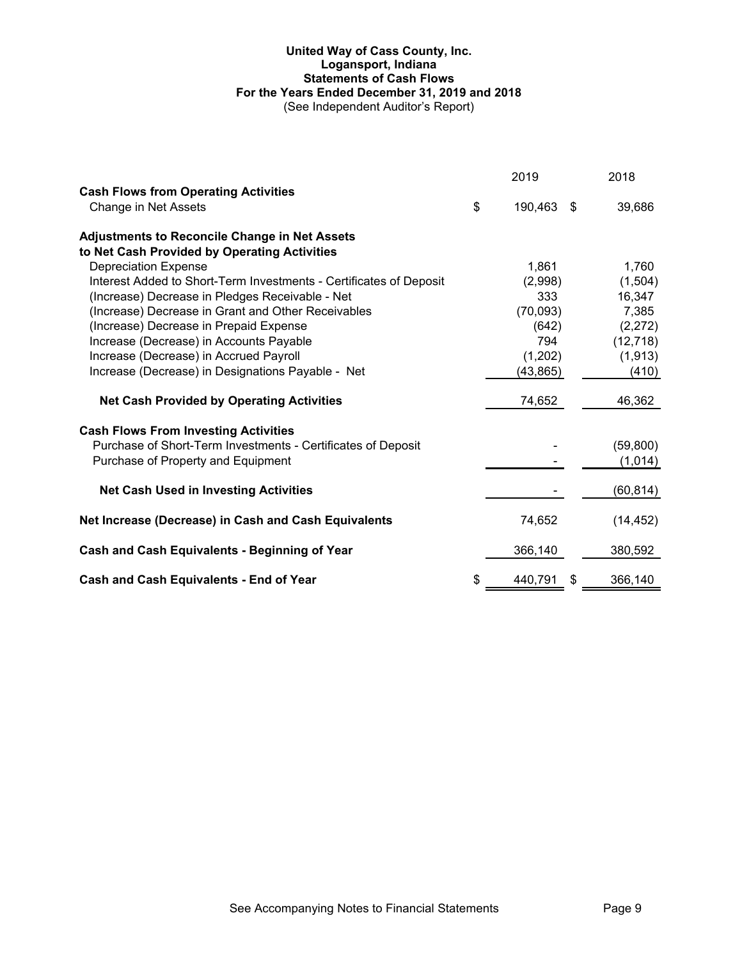### **United Way of Cass County, Inc. Logansport, Indiana Statements of Cash Flows For the Years Ended December 31, 2019 and 2018** (See Independent Auditor's Report)

|                                                                    | 2019          |     | 2018      |
|--------------------------------------------------------------------|---------------|-----|-----------|
| <b>Cash Flows from Operating Activities</b>                        |               |     |           |
| Change in Net Assets                                               | \$<br>190,463 | -SS | 39,686    |
| <b>Adjustments to Reconcile Change in Net Assets</b>               |               |     |           |
| to Net Cash Provided by Operating Activities                       |               |     |           |
| <b>Depreciation Expense</b>                                        | 1,861         |     | 1,760     |
| Interest Added to Short-Term Investments - Certificates of Deposit | (2,998)       |     | (1,504)   |
| (Increase) Decrease in Pledges Receivable - Net                    | 333           |     | 16,347    |
| (Increase) Decrease in Grant and Other Receivables                 | (70,093)      |     | 7,385     |
| (Increase) Decrease in Prepaid Expense                             | (642)         |     | (2,272)   |
| Increase (Decrease) in Accounts Payable                            | 794           |     | (12, 718) |
| Increase (Decrease) in Accrued Payroll                             | (1,202)       |     | (1, 913)  |
| Increase (Decrease) in Designations Payable - Net                  | (43, 865)     |     | (410)     |
| <b>Net Cash Provided by Operating Activities</b>                   | 74,652        |     | 46,362    |
| <b>Cash Flows From Investing Activities</b>                        |               |     |           |
| Purchase of Short-Term Investments - Certificates of Deposit       |               |     | (59, 800) |
| Purchase of Property and Equipment                                 |               |     | (1,014)   |
| <b>Net Cash Used in Investing Activities</b>                       |               |     | (60, 814) |
| Net Increase (Decrease) in Cash and Cash Equivalents               | 74,652        |     | (14, 452) |
| Cash and Cash Equivalents - Beginning of Year                      | 366,140       |     | 380,592   |
| Cash and Cash Equivalents - End of Year                            | \$<br>440,791 | \$  | 366,140   |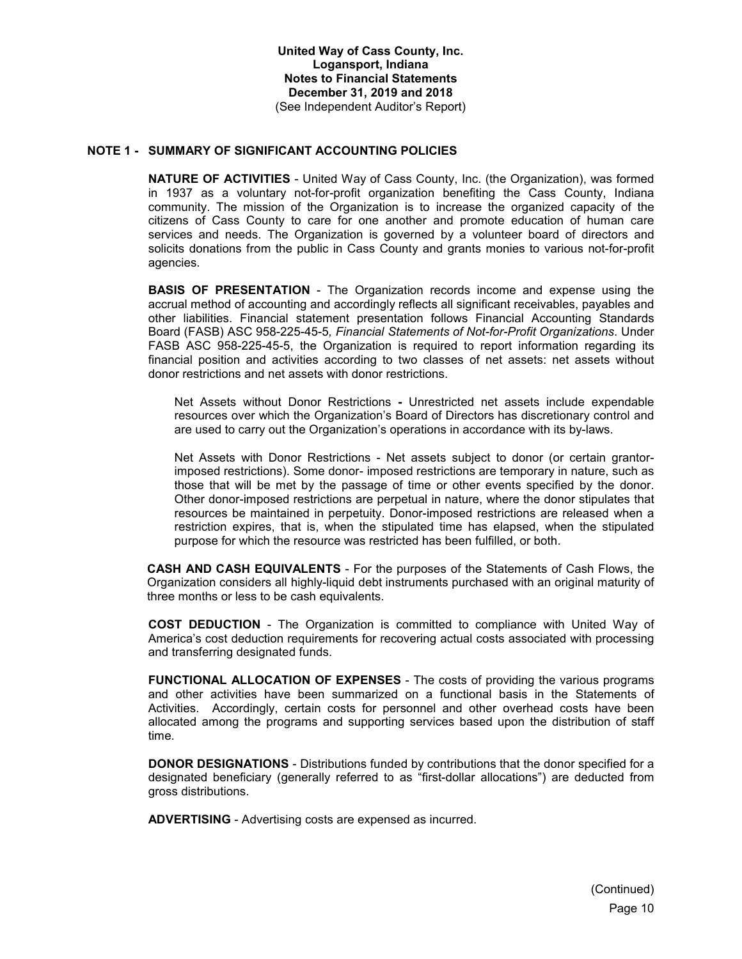### **NOTE 1 - SUMMARY OF SIGNIFICANT ACCOUNTING POLICIES**

**NATURE OF ACTIVITIES** - United Way of Cass County, Inc. (the Organization), was formed in 1937 as a voluntary not-for-profit organization benefiting the Cass County, Indiana community. The mission of the Organization is to increase the organized capacity of the citizens of Cass County to care for one another and promote education of human care services and needs. The Organization is governed by a volunteer board of directors and solicits donations from the public in Cass County and grants monies to various not-for-profit agencies.

**BASIS OF PRESENTATION** - The Organization records income and expense using the accrual method of accounting and accordingly reflects all significant receivables, payables and other liabilities. Financial statement presentation follows Financial Accounting Standards Board (FASB) ASC 958-225-45-5*, Financial Statements of Not-for-Profit Organizations*. Under FASB ASC 958-225-45-5, the Organization is required to report information regarding its financial position and activities according to two classes of net assets: net assets without donor restrictions and net assets with donor restrictions.

Net Assets without Donor Restrictions **-** Unrestricted net assets include expendable resources over which the Organization's Board of Directors has discretionary control and are used to carry out the Organization's operations in accordance with its by-laws.

Net Assets with Donor Restrictions - Net assets subject to donor (or certain grantorimposed restrictions). Some donor- imposed restrictions are temporary in nature, such as those that will be met by the passage of time or other events specified by the donor. Other donor-imposed restrictions are perpetual in nature, where the donor stipulates that resources be maintained in perpetuity. Donor-imposed restrictions are released when a restriction expires, that is, when the stipulated time has elapsed, when the stipulated purpose for which the resource was restricted has been fulfilled, or both.

**CASH AND CASH EQUIVALENTS** - For the purposes of the Statements of Cash Flows, the Organization considers all highly-liquid debt instruments purchased with an original maturity of three months or less to be cash equivalents.

**COST DEDUCTION** - The Organization is committed to compliance with United Way of America's cost deduction requirements for recovering actual costs associated with processing and transferring designated funds.

**FUNCTIONAL ALLOCATION OF EXPENSES** - The costs of providing the various programs and other activities have been summarized on a functional basis in the Statements of Activities. Accordingly, certain costs for personnel and other overhead costs have been allocated among the programs and supporting services based upon the distribution of staff time.

**DONOR DESIGNATIONS** - Distributions funded by contributions that the donor specified for a designated beneficiary (generally referred to as "first-dollar allocations") are deducted from gross distributions.

**ADVERTISING** - Advertising costs are expensed as incurred.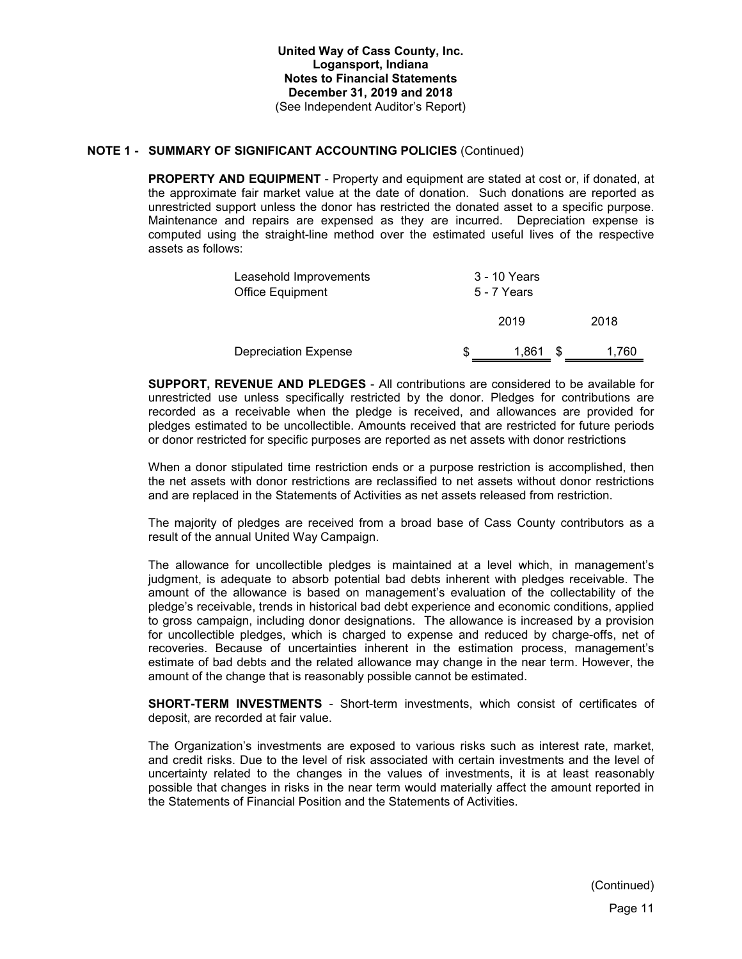### **NOTE 1 - SUMMARY OF SIGNIFICANT ACCOUNTING POLICIES** (Continued)

**PROPERTY AND EQUIPMENT** - Property and equipment are stated at cost or, if donated, at the approximate fair market value at the date of donation. Such donations are reported as unrestricted support unless the donor has restricted the donated asset to a specific purpose. Maintenance and repairs are expensed as they are incurred. Depreciation expense is computed using the straight-line method over the estimated useful lives of the respective assets as follows:

| Leasehold Improvements<br><b>Office Equipment</b> |   | 3 - 10 Years<br>5 - 7 Years |       |
|---------------------------------------------------|---|-----------------------------|-------|
|                                                   |   | 2019                        | 2018  |
| <b>Depreciation Expense</b>                       | 9 | 1,861                       | 1.760 |

**SUPPORT, REVENUE AND PLEDGES** - All contributions are considered to be available for unrestricted use unless specifically restricted by the donor. Pledges for contributions are recorded as a receivable when the pledge is received, and allowances are provided for pledges estimated to be uncollectible. Amounts received that are restricted for future periods or donor restricted for specific purposes are reported as net assets with donor restrictions

When a donor stipulated time restriction ends or a purpose restriction is accomplished, then the net assets with donor restrictions are reclassified to net assets without donor restrictions and are replaced in the Statements of Activities as net assets released from restriction.

The majority of pledges are received from a broad base of Cass County contributors as a result of the annual United Way Campaign.

The allowance for uncollectible pledges is maintained at a level which, in management's judgment, is adequate to absorb potential bad debts inherent with pledges receivable. The amount of the allowance is based on management's evaluation of the collectability of the pledge's receivable, trends in historical bad debt experience and economic conditions, applied to gross campaign, including donor designations. The allowance is increased by a provision for uncollectible pledges, which is charged to expense and reduced by charge-offs, net of recoveries. Because of uncertainties inherent in the estimation process, management's estimate of bad debts and the related allowance may change in the near term. However, the amount of the change that is reasonably possible cannot be estimated.

**SHORT-TERM INVESTMENTS** - Short-term investments, which consist of certificates of deposit, are recorded at fair value.

The Organization's investments are exposed to various risks such as interest rate, market, and credit risks. Due to the level of risk associated with certain investments and the level of uncertainty related to the changes in the values of investments, it is at least reasonably possible that changes in risks in the near term would materially affect the amount reported in the Statements of Financial Position and the Statements of Activities.

(Continued)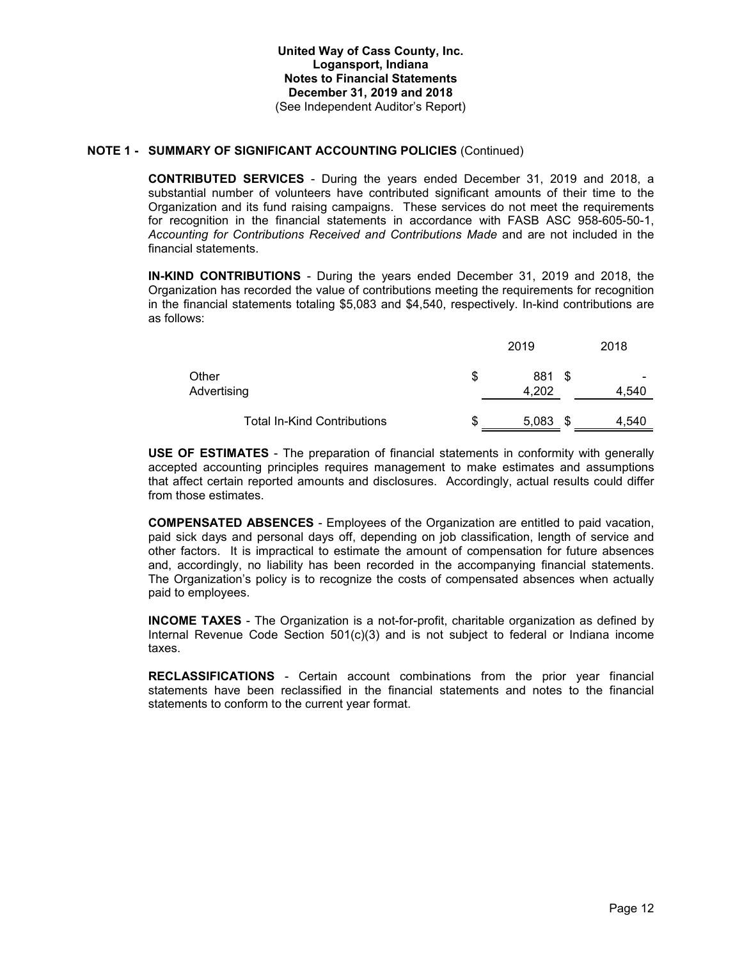### **NOTE 1 - SUMMARY OF SIGNIFICANT ACCOUNTING POLICIES** (Continued)

**CONTRIBUTED SERVICES** - During the years ended December 31, 2019 and 2018, a substantial number of volunteers have contributed significant amounts of their time to the Organization and its fund raising campaigns. These services do not meet the requirements for recognition in the financial statements in accordance with FASB ASC 958-605-50-1, *Accounting for Contributions Received and Contributions Made* and are not included in the financial statements.

**IN-KIND CONTRIBUTIONS** - During the years ended December 31, 2019 and 2018, the Organization has recorded the value of contributions meeting the requirements for recognition in the financial statements totaling \$5,083 and \$4,540, respectively. In-kind contributions are as follows:

|                                    |   | 2019         | 2018               |
|------------------------------------|---|--------------|--------------------|
| Other<br>Advertising               | S | 881<br>4.202 | - \$<br>-<br>4,540 |
| <b>Total In-Kind Contributions</b> | S | 5,083        | S<br>4,540         |

**USE OF ESTIMATES** - The preparation of financial statements in conformity with generally accepted accounting principles requires management to make estimates and assumptions that affect certain reported amounts and disclosures. Accordingly, actual results could differ from those estimates.

**COMPENSATED ABSENCES** - Employees of the Organization are entitled to paid vacation, paid sick days and personal days off, depending on job classification, length of service and other factors. It is impractical to estimate the amount of compensation for future absences and, accordingly, no liability has been recorded in the accompanying financial statements. The Organization's policy is to recognize the costs of compensated absences when actually paid to employees.

**INCOME TAXES** - The Organization is a not-for-profit, charitable organization as defined by Internal Revenue Code Section 501(c)(3) and is not subject to federal or Indiana income taxes.

**RECLASSIFICATIONS** - Certain account combinations from the prior year financial statements have been reclassified in the financial statements and notes to the financial statements to conform to the current year format.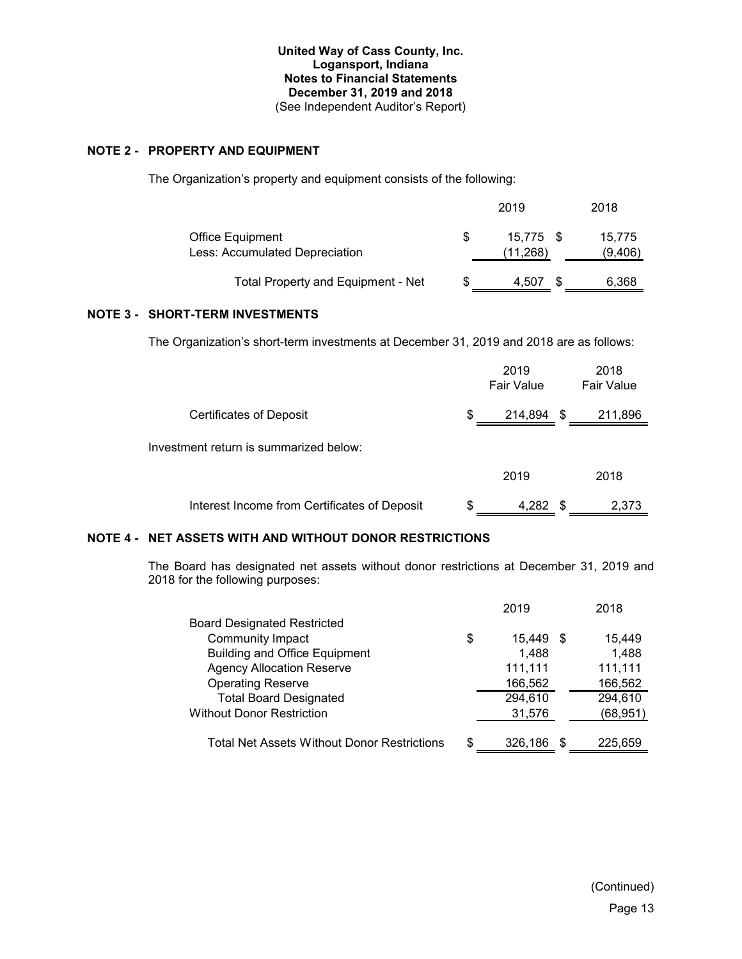# **NOTE 2 - PROPERTY AND EQUIPMENT**

The Organization's property and equipment consists of the following:

|                                                    | 2019                  | 2018              |
|----------------------------------------------------|-----------------------|-------------------|
| Office Equipment<br>Less: Accumulated Depreciation | 15.775 \$<br>(11.268) | 15.775<br>(9,406) |
| <b>Total Property and Equipment - Net</b>          | 4.507                 | 6.368             |

# **NOTE 3 - SHORT-TERM INVESTMENTS**

The Organization's short-term investments at December 31, 2019 and 2018 are as follows:

|                                              |    | 2019<br>Fair Value | 2018<br><b>Fair Value</b> |
|----------------------------------------------|----|--------------------|---------------------------|
| <b>Certificates of Deposit</b>               | S  | 214,894 \$         | 211,896                   |
| Investment return is summarized below:       |    |                    |                           |
|                                              |    | 2019               | 2018                      |
| Interest Income from Certificates of Deposit | \$ | 4,282<br>- \$      | 2.373                     |

# **NOTE 4 - NET ASSETS WITH AND WITHOUT DONOR RESTRICTIONS**

The Board has designated net assets without donor restrictions at December 31, 2019 and 2018 for the following purposes:

|                                             | 2019               | 2018      |
|---------------------------------------------|--------------------|-----------|
| <b>Board Designated Restricted</b>          |                    |           |
| <b>Community Impact</b>                     | \$<br>15.449<br>\$ | 15,449    |
| <b>Building and Office Equipment</b>        | 1,488              | 1,488     |
| <b>Agency Allocation Reserve</b>            | 111,111            | 111,111   |
| <b>Operating Reserve</b>                    | 166,562            | 166,562   |
| <b>Total Board Designated</b>               | 294,610            | 294,610   |
| <b>Without Donor Restriction</b>            | 31,576             | (68, 951) |
|                                             |                    |           |
| Total Net Assets Without Donor Restrictions | \$<br>326.186      | 225.659   |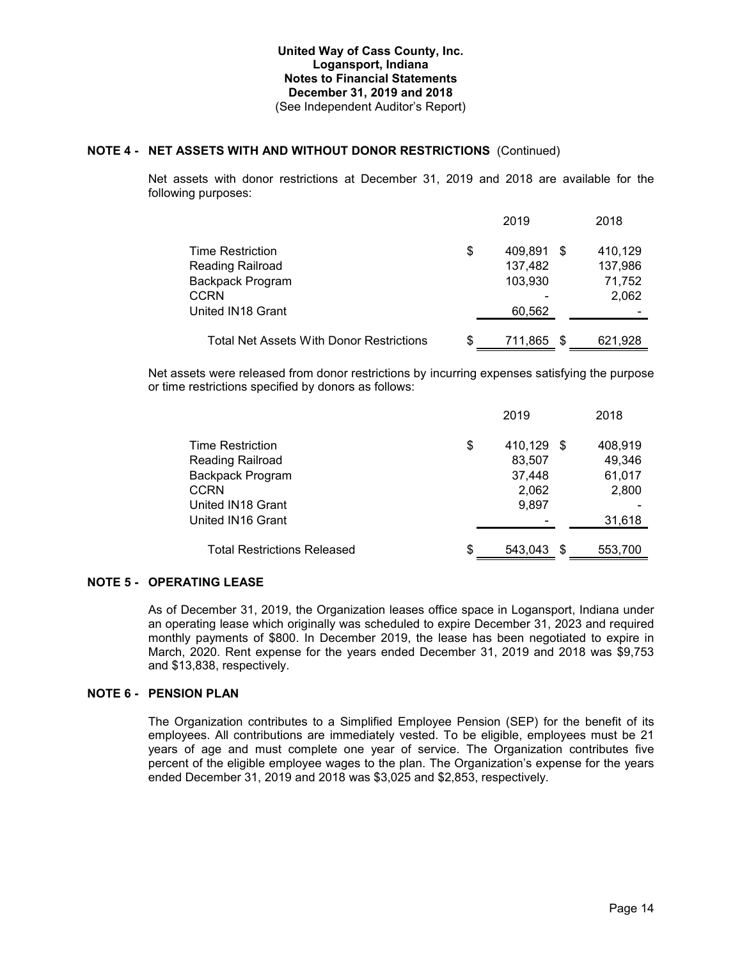# **NOTE 4 - NET ASSETS WITH AND WITHOUT DONOR RESTRICTIONS** (Continued)

Net assets with donor restrictions at December 31, 2019 and 2018 are available for the following purposes:

|                                          |    | 2019         | 2018    |
|------------------------------------------|----|--------------|---------|
| <b>Time Restriction</b>                  | \$ | 409.891<br>S | 410,129 |
| <b>Reading Railroad</b>                  |    | 137,482      | 137,986 |
| <b>Backpack Program</b>                  |    | 103,930      | 71,752  |
| <b>CCRN</b>                              |    |              | 2,062   |
| United IN18 Grant                        |    | 60,562       |         |
|                                          |    |              |         |
| Total Net Assets With Donor Restrictions | S  | 711.865      | 621.928 |

Net assets were released from donor restrictions by incurring expenses satisfying the purpose or time restrictions specified by donors as follows:

|                                    | 2019          |      | 2018    |
|------------------------------------|---------------|------|---------|
| <b>Time Restriction</b>            | \$<br>410,129 | - \$ | 408,919 |
| Reading Railroad                   | 83,507        |      | 49,346  |
| <b>Backpack Program</b>            | 37,448        |      | 61,017  |
| <b>CCRN</b>                        | 2,062         |      | 2,800   |
| United IN18 Grant                  | 9,897         |      |         |
| United IN16 Grant                  |               |      | 31,618  |
|                                    |               |      |         |
| <b>Total Restrictions Released</b> | \$<br>543.043 |      | 553,700 |

# **NOTE 5 - OPERATING LEASE**

As of December 31, 2019, the Organization leases office space in Logansport, Indiana under an operating lease which originally was scheduled to expire December 31, 2023 and required monthly payments of \$800. In December 2019, the lease has been negotiated to expire in March, 2020. Rent expense for the years ended December 31, 2019 and 2018 was \$9,753 and \$13,838, respectively.

# **NOTE 6 - PENSION PLAN**

The Organization contributes to a Simplified Employee Pension (SEP) for the benefit of its employees. All contributions are immediately vested. To be eligible, employees must be 21 years of age and must complete one year of service. The Organization contributes five percent of the eligible employee wages to the plan. The Organization's expense for the years ended December 31, 2019 and 2018 was \$3,025 and \$2,853, respectively.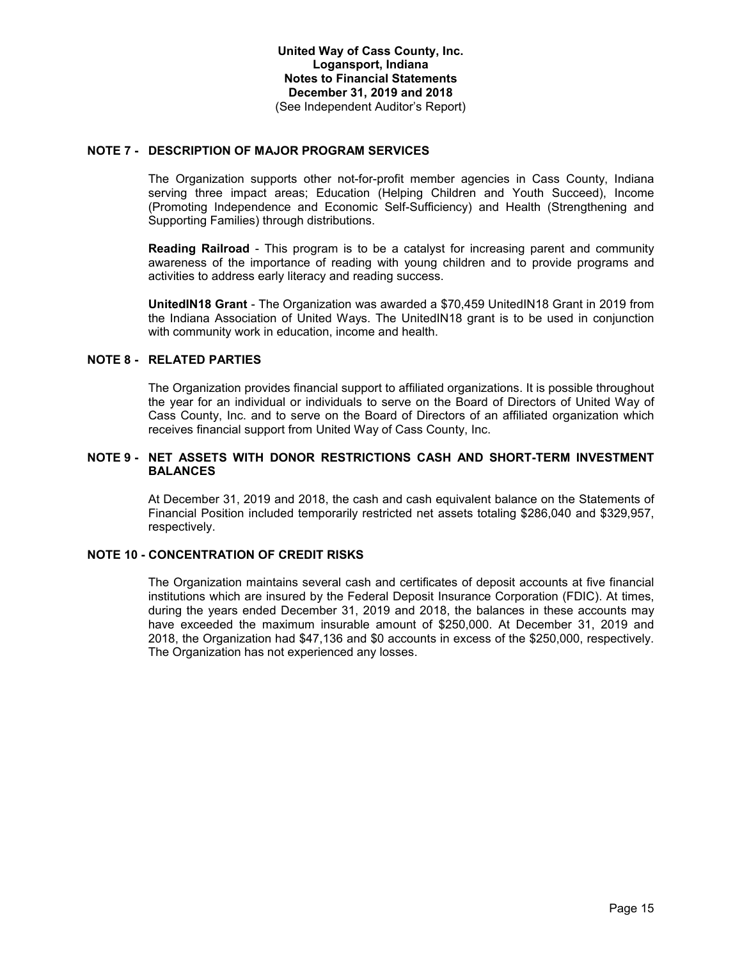#### **NOTE 7 - DESCRIPTION OF MAJOR PROGRAM SERVICES**

The Organization supports other not-for-profit member agencies in Cass County, Indiana serving three impact areas; Education (Helping Children and Youth Succeed), Income (Promoting Independence and Economic Self-Sufficiency) and Health (Strengthening and Supporting Families) through distributions.

**Reading Railroad** - This program is to be a catalyst for increasing parent and community awareness of the importance of reading with young children and to provide programs and activities to address early literacy and reading success.

**UnitedIN18 Grant** - The Organization was awarded a \$70,459 UnitedIN18 Grant in 2019 from the Indiana Association of United Ways. The UnitedIN18 grant is to be used in conjunction with community work in education, income and health.

# **NOTE 8 - RELATED PARTIES**

The Organization provides financial support to affiliated organizations. It is possible throughout the year for an individual or individuals to serve on the Board of Directors of United Way of Cass County, Inc. and to serve on the Board of Directors of an affiliated organization which receives financial support from United Way of Cass County, Inc.

### **NOTE 9 - NET ASSETS WITH DONOR RESTRICTIONS CASH AND SHORT-TERM INVESTMENT BALANCES**

At December 31, 2019 and 2018, the cash and cash equivalent balance on the Statements of Financial Position included temporarily restricted net assets totaling \$286,040 and \$329,957, respectively.

# **NOTE 10 - CONCENTRATION OF CREDIT RISKS**

The Organization maintains several cash and certificates of deposit accounts at five financial institutions which are insured by the Federal Deposit Insurance Corporation (FDIC). At times, during the years ended December 31, 2019 and 2018, the balances in these accounts may have exceeded the maximum insurable amount of \$250,000. At December 31, 2019 and 2018, the Organization had \$47,136 and \$0 accounts in excess of the \$250,000, respectively. The Organization has not experienced any losses.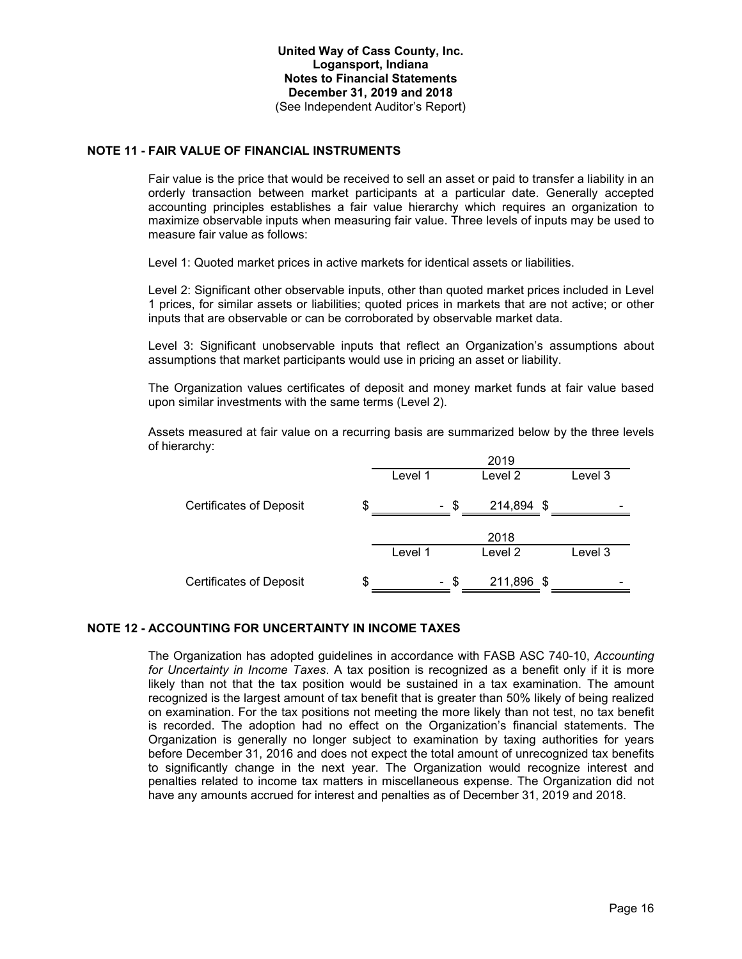### **NOTE 11 - FAIR VALUE OF FINANCIAL INSTRUMENTS**

Fair value is the price that would be received to sell an asset or paid to transfer a liability in an orderly transaction between market participants at a particular date. Generally accepted accounting principles establishes a fair value hierarchy which requires an organization to maximize observable inputs when measuring fair value. Three levels of inputs may be used to measure fair value as follows:

Level 1: Quoted market prices in active markets for identical assets or liabilities.

Level 2: Significant other observable inputs, other than quoted market prices included in Level 1 prices, for similar assets or liabilities; quoted prices in markets that are not active; or other inputs that are observable or can be corroborated by observable market data.

Level 3: Significant unobservable inputs that reflect an Organization's assumptions about assumptions that market participants would use in pricing an asset or liability.

The Organization values certificates of deposit and money market funds at fair value based upon similar investments with the same terms (Level 2).

Assets measured at fair value on a recurring basis are summarized below by the three levels of hierarchy: 2019

|                                |   |         | 2019       |         |
|--------------------------------|---|---------|------------|---------|
|                                |   | Level 1 | Level 2    | Level 3 |
| <b>Certificates of Deposit</b> | S | - \$    | 214,894 \$ |         |
|                                |   |         | 2018       |         |
|                                |   | Level 1 | Level 2    | Level 3 |
| <b>Certificates of Deposit</b> | S | - \$    | 211,896 \$ |         |

# **NOTE 12 - ACCOUNTING FOR UNCERTAINTY IN INCOME TAXES**

The Organization has adopted guidelines in accordance with FASB ASC 740-10, *Accounting for Uncertainty in Income Taxes*. A tax position is recognized as a benefit only if it is more likely than not that the tax position would be sustained in a tax examination. The amount recognized is the largest amount of tax benefit that is greater than 50% likely of being realized on examination. For the tax positions not meeting the more likely than not test, no tax benefit is recorded. The adoption had no effect on the Organization's financial statements. The Organization is generally no longer subject to examination by taxing authorities for years before December 31, 2016 and does not expect the total amount of unrecognized tax benefits to significantly change in the next year. The Organization would recognize interest and penalties related to income tax matters in miscellaneous expense. The Organization did not have any amounts accrued for interest and penalties as of December 31, 2019 and 2018.